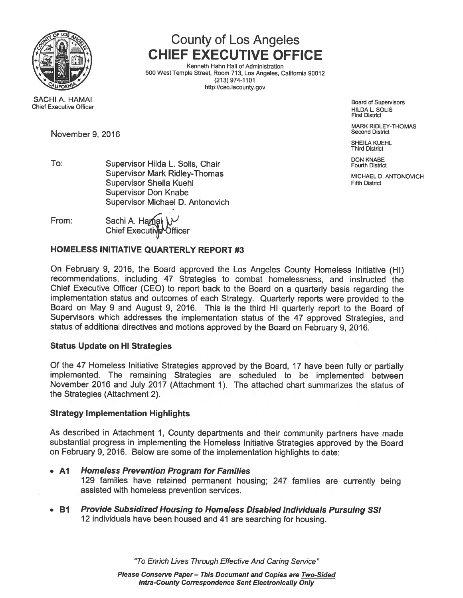

Chief Executive Officer

# SACHI A. HAMAI

November 9, 2016

## County of Los Angeles CHIEF EXECUTIVE OFFICE

Kenneth Hahn Hall of Administration <sup>500</sup> West Temple Street, Room 713, Los Angeles, California <sup>90012</sup> (213) 974-1101 http://ceo.iacounty.gov

> Board of Supervisors HILDA L. SOLIS First District

MARK RIDLEY-THOMAS<br>Second District

SHEILA KUEHL Third District

To: Supervisor Hilda L. Solis, Chair Fourth District Pourth District Pourth District Supervisor Mark Ridley-Thomas MICHAEL D. ANTONOVICH Supervisor Sheila Kuehl **Fifth District Containers** Fifth District Supervisor Don Knabe Supervisor Michael D. Antonovich

From: Sachi A. Hamai \ Chief Executive Officer

### HOMELESS INITIATIVE QUARTERLY REPORT #3

On February 9, 2016, the Board approve<sup>d</sup> the Los Angeles County Homeless Initiative (HI) recommendations, including 47 Strategies to combat homelessness, and instructed the Chief Executive Officer (CEO) to repor<sup>t</sup> back to the Board on <sup>a</sup> quarterly basis regarding the implementation status and outcomes of each Strategy. Quarterly reports were provided to the Board on May <sup>9</sup> and August 9, 2016. This is the third HI quarterly repor<sup>t</sup> to the Board of Supervisors which addresses the implementation status of the <sup>47</sup> approve<sup>d</sup> Strategies, and status of additional directives and motions approve<sup>d</sup> by the Board on February 9, 2016.

### Status Update on HI Strategies

Of the <sup>47</sup> Homeless Initiative Strategies approve<sup>d</sup> by the Board, <sup>17</sup> have been fully or partially implemented. The remaining Strategies are scheduled to be implemented between November 2016 and July 2017 (Attachment 1). The attached chart summarizes the status of the Strategies (Attachment 2).

### Strategy Implementation Highlights

As described in Attachment 1, County departments and their community partners have made substantial progress in implementing the Homeless Initiative Strategies approve<sup>d</sup> by the Board on February 9, 2016. Below are some of the implementation highlights to date:

- A1 **Homeless Prevention Program for Families** <sup>129</sup> families have retained permanen<sup>t</sup> housing; <sup>247</sup> families are currently being assisted with homeless prevention services.
- B1 **Provide Subsidized Housing to Homeless Disabled Individuals Pursuing SSI** <sup>12</sup> individuals have been housed and <sup>41</sup> are searching for housing.

"To Enrich Lives Through Effective And Caring Service"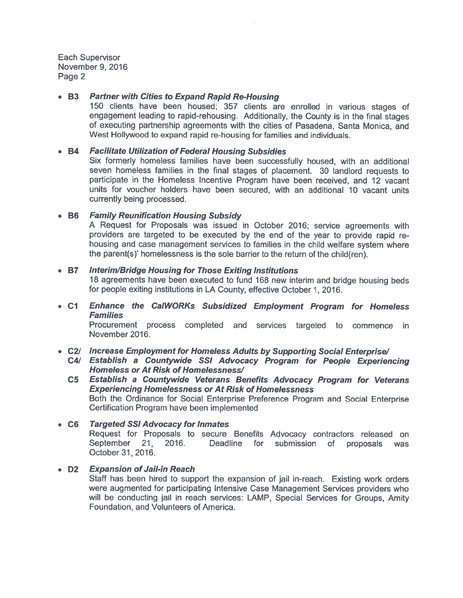#### • E3Partner with Cities to Expand Rapid Re-Housing

150 clients have been housed; 357 clients are enrolled in various stages of engagemen<sup>t</sup> leading to rapid-rehousing. Additionally, the County is in the final stages of executing partnership agreements with the cities of Pasadena, Santa Monica, and West Hollywood to expand rapid re-housing for families and individuals.

#### • B4**Facilitate Utilization of Federal Housing Subsidies**

Six formerly homeless families have been successfully housed, with an additiona seven homeless families in the final stages of placement. 30 landlord requests to participate in the Homeless Incentive Program have been received, and 12 vacant units for voucher holders have been secured, with an additional 10 vacant units currently being processed.

#### • B6Family Reunification Housing Subsidy

A Request for Proposals was issued in October 2016; service agreements with providers are targeted to be executed by the end of the year to provide rapid re housing and case managemen<sup>t</sup> services to families in the child welfare system where the parent(s)' homelessness is the sole barrier to the return of the child(ren).

#### • B7Interim/Bridge Housing for Those Exiting Institutions

18 agreements have been executed to fund <sup>168</sup> new interim and bridge housing beds for people exiting institutions in LA County, effective October 1, 2016.

• C1 Enhance the CalWORKs Subsidized Employment Program for Homeless Families

Procurement process completed and services targeted to commence in November 2016.

### • C2/ Increase Employment for Homeless Adults by Supporting Social Enterprise

C4/ Establish <sup>a</sup> Countywide SSI Advocacy Program for People Experiencing Homeless or At Risk of Homelessness!

### C5 Establish <sup>a</sup> Countywide Veterans Benefits Advocacy Program for Veterans Experiencing Homelessness or At Risk of Homelessness Both the Ordinance for Social Enterprise Preference Program and Social Enterprise Certification Program have been implemented

- C6 Targeted 551 Advocacy for Inmates Request for Proposals to secure Benefits Advocacy contractors released on September 21, 2016. Deadline for submission of proposals was October 31, 2016.
- D2**Expansion of Jail-in Reach** Staff has been hired to suppor<sup>t</sup> the expansion of jail in-reach. Existing work orders were augmented for participating Intensive Case Management Services providers who will be conducting jail in reach services: LAMP, Special Services for Groups, Amity Foundation, and Volunteers of America.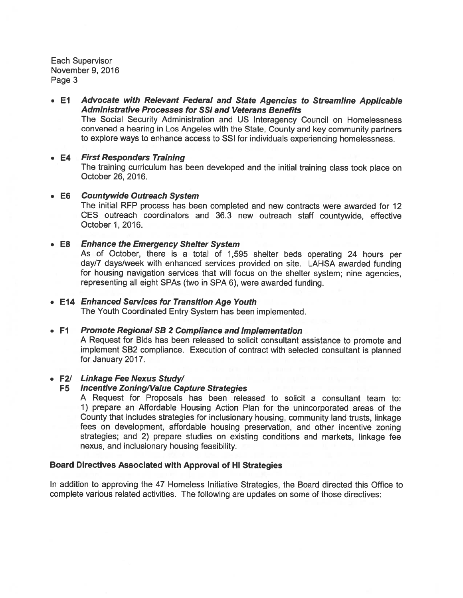• El Advocate with Relevant Federal and State Agencies to Streamline Applicable Administrative Processes for 55! and Veterans Benefits The Social Security Administration and US Interagency Council on Homelessness convened <sup>a</sup> hearing in Los Angeles with the State, County and key community partners to explore ways to enhance access to SSI for individuals experiencing homelessness.

#### • E4 **First Responders Training** The training curriculum has been developed and the initial training class took <sup>p</sup>lace on October 26, 2016.

• E6 Countywide Outreach System The initial REP process has been completed and new contracts were awarded for 12 CES outreach coordinators and 36.3 new outreach staff countywide, effective October 1,2016.

#### • E8 **Enhance the Emergency Shelter System**

As of October, there is <sup>a</sup> total of 1,595 shelter beds operating <sup>24</sup> hours per day/7 days/week with enhanced services provided on site. LAHSA awarded funding for housing navigation services that will focus on the shelter system; nine agencies, representing all eight SPAs (two in SPA 6), were awarded funding.

#### • E14 Enhanced Services for Transition Age Youth

The Youth Coordinated Entry System has been implemented.

#### • F1 **Promote Regional SB 2 Compliance and Implementation**

<sup>A</sup> Request for Bids has been released to solicit consultant assistance to promote and implement SB2 compliance. Execution of contract with selected consultant is <sup>p</sup>lanned for January 2017.

#### • F2/ Linkage Fee Nexus Study!

### F5 Incentive Zoning/Value Capture Strategies

A Request for Proposals has been released to solicit <sup>a</sup> consultant team to: 1) prepare an Affordable Housing Action Plan for the unincorporated areas of the County that includes strategies for inclusionary housing, community land trusts, linkage fees on development, affordable housing preservation, and other incentive zoning strategies; and 2) prepare studies on existing conditions and markets, linkage fee nexus, and inclusionary housing feasibility.

#### Board Directives Associated with Approval of HI Strategies

In addition to approving the 47 Homeless Initiative Strategies, the Board directed this Office to complete various related activities. The following are updates on some of those directives: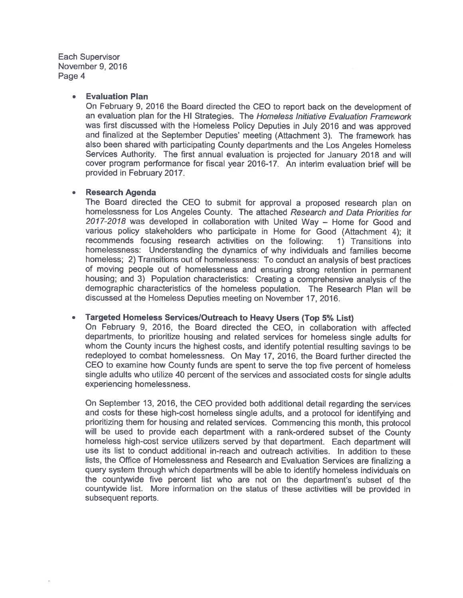#### •Evaluation Plan

On February 9, <sup>2016</sup> the Board directed the CEO to repor<sup>t</sup> back on the development of an evaluation plan for the HI Strategies. The *Homeless Initiative Evaluation Framework* was first discussed with the Homeless Policy Deputies in July <sup>2016</sup> and was approve<sup>d</sup> and finalized at the September Deputies' meeting (Attachment 3). The framework has also been shared with participating County departments and the Los Angeles Homeless Services Authority. The first annual evaluation is projected for January <sup>2018</sup> and will cover program performance for fiscal year 2016-17. An interim evaluation brief will be provided in February 2017.

#### Research Agenda

The Board directed the CEO to submit for approval <sup>a</sup> proposed research plan on homelessness for Los Angeles County. The attached Research and Data Priorities for 2017-2018 was developed in collaboration with United Way – Home for Good and various policy stakeholders who participate in Home for Good (Attachment 4); it recommends focusing research activities on the following: 1) Transitions into homelessness: Understanding the dynamics of why individuals and families become homeless; 2) Transitions out of homelessness: To conduct an analysis of best practices of moving people out of homelessness and ensuring strong retention in permanen<sup>t</sup> housing; and 3) Population characteristics: Creating <sup>a</sup> comprehensive analysis of the demographic characteristics of the homeless population. The Research Plan will be discussed at the Homeless Deputies meeting on November 17, 2016.

#### Targeted Homeless ServiceslOutreach to Heavy Users (Top 5% List)

On February 9, 2016, the Board directed the CEO, in collaboration with affected departments, to prioritize housing and related services for homeless single adults for whom the County incurs the highest costs, and identify potential resulting savings to be redeployed to combat homelessness. On May 17, 2016, the Board further directed the CEO to examine how County funds are spen<sup>t</sup> to serve the top five percen<sup>t</sup> of homeless single adults who utilize <sup>40</sup> percen<sup>t</sup> of the services and associated costs for single adults experiencing homelessness.

On September 13, 2016, the CEO provided both additional detail regarding the services and costs for these high-cost homeless single adults, and a protocol for identifying and prioritizing them for housing and related services. Commencing this month, this protocol will be used to provide each department with <sup>a</sup> rank-ordered subset of the County homeless high-cost service utilizers served by that department. Each department will use its list to conduct additional in-reach and outreach activities. In addition to these lists, the Office of Homelessness and Research and Evaluation Services are finalizing <sup>a</sup> query system through which departments will be able to identify homeless individuals on the countywide five percen<sup>t</sup> list who are not on the department's subset of the countywide list. More information on the status of these activities will be provided in subsequent reports.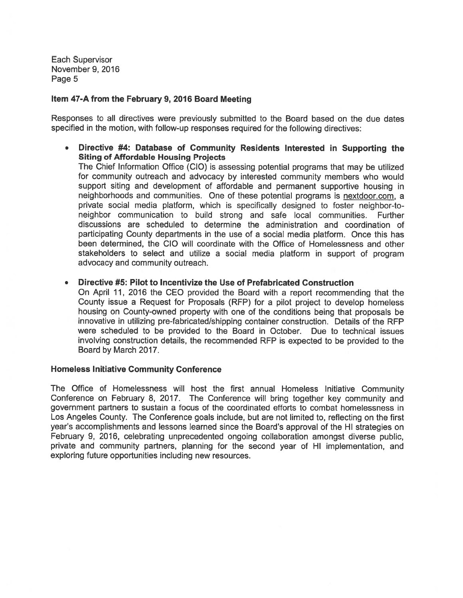### Item 47-A from the February 9, 2016 Board Meeting

Responses to all directives were previously submitted to the Board based on the due dates specified in the motion, with follow-up responses required for the following directives:

• Directive #4: Database of Community Residents Interested in Supporting the Siting of Affordable Housing Projects

The Chief Information Office (ClO) is assessing potential programs that may be utilized for community outreach and advocacy by interested community members who would suppor<sup>t</sup> siting and development of affordable and permanen<sup>t</sup> supportive housing in neighborhoods and communities. One of these potential programs is nextdoor.com, <sup>a</sup> private social media platform, which is specifically designed to foster neighbor-toneighbor communication to build strong and safe local communities. Further discussions are scheduled to determine the administration and coordination of participating County departments in the use of <sup>a</sup> social media <sup>p</sup>latform. Once this has been determined, the CIO will coordinate with the Office of Homelessness and other stakeholders to select and utilize <sup>a</sup> social media <sup>p</sup>latform in suppor<sup>t</sup> of program advocacy and community outreach.

•Directive #5: Pilot to Incentivize the Use of Prefabricated Construction

On April 11, 2016 the CEO provided the Board with <sup>a</sup> repor<sup>t</sup> recommending that the County issue <sup>a</sup> Request for Proposals (RFP) for <sup>a</sup> <sup>p</sup>ilot project to develop homeless housing on County-owned property with one of the conditions being that proposals be innovative in utilizing pre-fabricated/shipping container construction. Details of the RFP were scheduled to be provided to the Board in October. Due to technical issues involving construction details, the recommended REP is expected to be provided to the Board by March 2017.

#### Homeless Initiative Community Conference

The Office of Homelessness will host the first annual Homeless Initiative Community Conference on February 8, 2017. The Conference will bring together key community and governmen<sup>t</sup> partners to sustain <sup>a</sup> focus of the coordinated efforts to combat homelessness in Los Angeles County. The Conference goals include, but are not limited to, reflecting on the first year's accomplishments and lessons learned since the Board's approval of the HI strategies on February 9, 2016, celebrating unprecedented ongoing collaboration amongs<sup>t</sup> diverse public, private and community partners, planning for the second year of HI implementation, and exploring future opportunities including new resources.